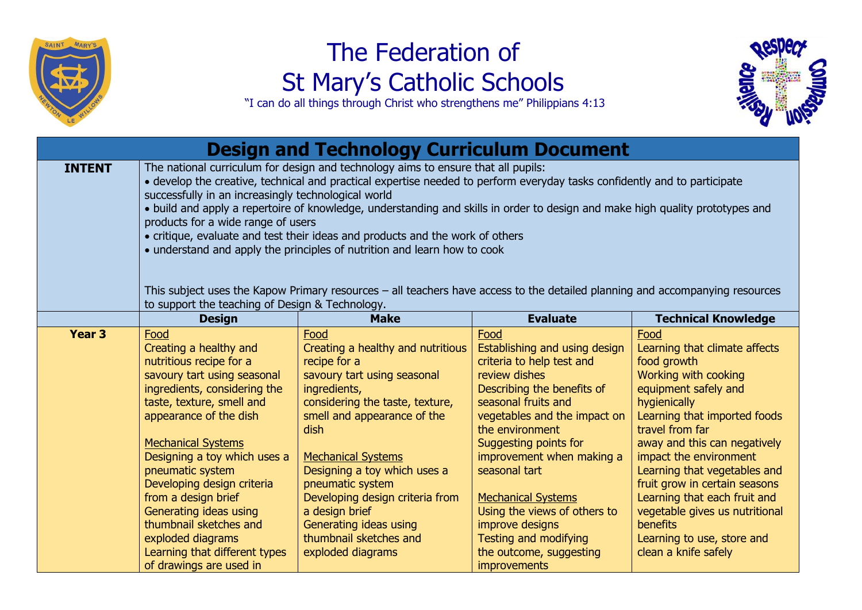

## The Federation of St Mary's Catholic Schools

"I can do all things through Christ who strengthens me" Philippians 4:13

| <b>Design and Technology Curriculum Document</b> |                                                                                                                                                                                                                                                                                                                                                                                                                                                                                                                                                                                                                                                                                                                                                                                              |                                                                                                                                                                                                                                                                                                                                                                                                   |                                                                                                                                                                                                                                                                                                                                                                                                                        |                                                                                                                                                                                                                                                                                                                                                                                                                                               |
|--------------------------------------------------|----------------------------------------------------------------------------------------------------------------------------------------------------------------------------------------------------------------------------------------------------------------------------------------------------------------------------------------------------------------------------------------------------------------------------------------------------------------------------------------------------------------------------------------------------------------------------------------------------------------------------------------------------------------------------------------------------------------------------------------------------------------------------------------------|---------------------------------------------------------------------------------------------------------------------------------------------------------------------------------------------------------------------------------------------------------------------------------------------------------------------------------------------------------------------------------------------------|------------------------------------------------------------------------------------------------------------------------------------------------------------------------------------------------------------------------------------------------------------------------------------------------------------------------------------------------------------------------------------------------------------------------|-----------------------------------------------------------------------------------------------------------------------------------------------------------------------------------------------------------------------------------------------------------------------------------------------------------------------------------------------------------------------------------------------------------------------------------------------|
| <b>INTENT</b>                                    | The national curriculum for design and technology aims to ensure that all pupils:<br>• develop the creative, technical and practical expertise needed to perform everyday tasks confidently and to participate<br>successfully in an increasingly technological world<br>• build and apply a repertoire of knowledge, understanding and skills in order to design and make high quality prototypes and<br>products for a wide range of users<br>• critique, evaluate and test their ideas and products and the work of others<br>• understand and apply the principles of nutrition and learn how to cook<br>This subject uses the Kapow Primary resources – all teachers have access to the detailed planning and accompanying resources<br>to support the teaching of Design & Technology. |                                                                                                                                                                                                                                                                                                                                                                                                   |                                                                                                                                                                                                                                                                                                                                                                                                                        |                                                                                                                                                                                                                                                                                                                                                                                                                                               |
|                                                  | <b>Design</b>                                                                                                                                                                                                                                                                                                                                                                                                                                                                                                                                                                                                                                                                                                                                                                                | <b>Make</b>                                                                                                                                                                                                                                                                                                                                                                                       | <b>Evaluate</b>                                                                                                                                                                                                                                                                                                                                                                                                        | <b>Technical Knowledge</b>                                                                                                                                                                                                                                                                                                                                                                                                                    |
| Year <sub>3</sub>                                | Food<br>Creating a healthy and<br>nutritious recipe for a<br>savoury tart using seasonal<br>ingredients, considering the<br>taste, texture, smell and<br>appearance of the dish<br><b>Mechanical Systems</b><br>Designing a toy which uses a<br>pneumatic system<br>Developing design criteria<br>from a design brief<br>Generating ideas using<br>thumbnail sketches and<br>exploded diagrams<br>Learning that different types<br>of drawings are used in                                                                                                                                                                                                                                                                                                                                   | Food<br>Creating a healthy and nutritious<br>recipe for a<br>savoury tart using seasonal<br>ingredients,<br>considering the taste, texture,<br>smell and appearance of the<br>dish<br><b>Mechanical Systems</b><br>Designing a toy which uses a<br>pneumatic system<br>Developing design criteria from<br>a design brief<br>Generating ideas using<br>thumbnail sketches and<br>exploded diagrams | Food<br>Establishing and using design<br>criteria to help test and<br>review dishes<br>Describing the benefits of<br>seasonal fruits and<br>vegetables and the impact on<br>the environment<br>Suggesting points for<br>improvement when making a<br>seasonal tart<br><b>Mechanical Systems</b><br>Using the views of others to<br>improve designs<br>Testing and modifying<br>the outcome, suggesting<br>improvements | Food<br>Learning that climate affects<br>food growth<br>Working with cooking<br>equipment safely and<br>hygienically<br>Learning that imported foods<br>travel from far<br>away and this can negatively<br>impact the environment<br>Learning that vegetables and<br>fruit grow in certain seasons<br>Learning that each fruit and<br>vegetable gives us nutritional<br><b>benefits</b><br>Learning to use, store and<br>clean a knife safely |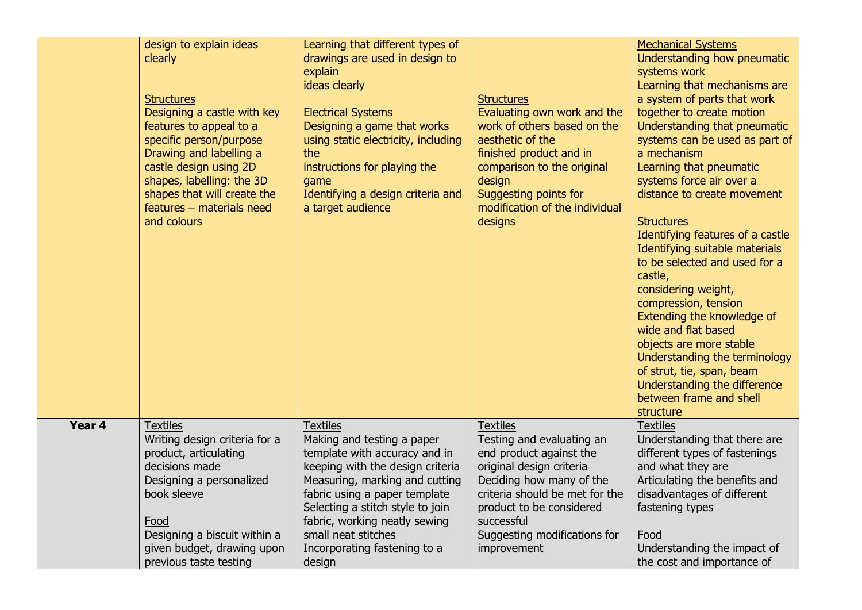|        | design to explain ideas<br>clearly<br><b>Structures</b><br>Designing a castle with key<br>features to appeal to a<br>specific person/purpose<br>Drawing and labelling a<br>castle design using 2D<br>shapes, labelling: the 3D<br>shapes that will create the<br>features - materials need<br>and colours | Learning that different types of<br>drawings are used in design to<br>explain<br>ideas clearly<br><b>Electrical Systems</b><br>Designing a game that works<br>using static electricity, including<br>the<br>instructions for playing the<br>game<br>Identifying a design criteria and<br>a target audience                  | <b>Structures</b><br>Evaluating own work and the<br>work of others based on the<br>aesthetic of the<br>finished product and in<br>comparison to the original<br>design<br>Suggesting points for<br>modification of the individual<br>designs               | <b>Mechanical Systems</b><br>Understanding how pneumatic<br>systems work<br>Learning that mechanisms are<br>a system of parts that work<br>together to create motion<br>Understanding that pneumatic<br>systems can be used as part of<br>a mechanism<br>Learning that pneumatic<br>systems force air over a<br>distance to create movement<br><b>Structures</b><br>Identifying features of a castle<br>Identifying suitable materials<br>to be selected and used for a<br>castle,<br>considering weight,<br>compression, tension<br>Extending the knowledge of<br>wide and flat based<br>objects are more stable<br>Understanding the terminology<br>of strut, tie, span, beam<br>Understanding the difference<br>between frame and shell<br>structure |
|--------|-----------------------------------------------------------------------------------------------------------------------------------------------------------------------------------------------------------------------------------------------------------------------------------------------------------|-----------------------------------------------------------------------------------------------------------------------------------------------------------------------------------------------------------------------------------------------------------------------------------------------------------------------------|------------------------------------------------------------------------------------------------------------------------------------------------------------------------------------------------------------------------------------------------------------|---------------------------------------------------------------------------------------------------------------------------------------------------------------------------------------------------------------------------------------------------------------------------------------------------------------------------------------------------------------------------------------------------------------------------------------------------------------------------------------------------------------------------------------------------------------------------------------------------------------------------------------------------------------------------------------------------------------------------------------------------------|
| Year 4 | <b>Textiles</b><br>Writing design criteria for a<br>product, articulating<br>decisions made<br>Designing a personalized<br>book sleeve<br>Food<br>Designing a biscuit within a<br>given budget, drawing upon<br>previous taste testing                                                                    | <b>Textiles</b><br>Making and testing a paper<br>template with accuracy and in<br>keeping with the design criteria<br>Measuring, marking and cutting<br>fabric using a paper template<br>Selecting a stitch style to join<br>fabric, working neatly sewing<br>small neat stitches<br>Incorporating fastening to a<br>design | <b>Textiles</b><br>Testing and evaluating an<br>end product against the<br>original design criteria<br>Deciding how many of the<br>criteria should be met for the<br>product to be considered<br>successful<br>Suggesting modifications for<br>improvement | <b>Textiles</b><br>Understanding that there are<br>different types of fastenings<br>and what they are<br>Articulating the benefits and<br>disadvantages of different<br>fastening types<br>Food<br>Understanding the impact of<br>the cost and importance of                                                                                                                                                                                                                                                                                                                                                                                                                                                                                            |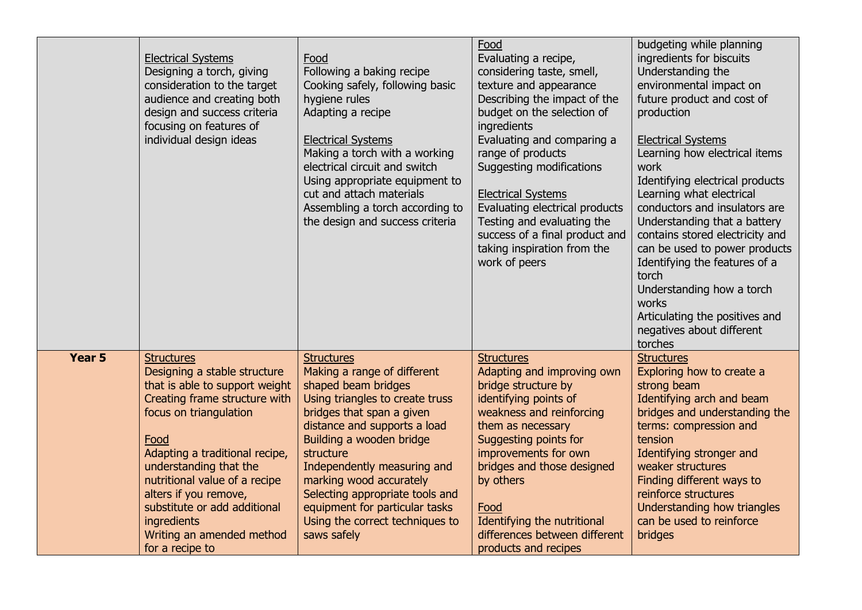|        | <b>Electrical Systems</b><br>Designing a torch, giving<br>consideration to the target<br>audience and creating both<br>design and success criteria<br>focusing on features of<br>individual design ideas | Food<br>Following a baking recipe<br>Cooking safely, following basic<br>hygiene rules<br>Adapting a recipe<br><b>Electrical Systems</b><br>Making a torch with a working<br>electrical circuit and switch<br>Using appropriate equipment to<br>cut and attach materials<br>Assembling a torch according to<br>the design and success criteria | Food<br>Evaluating a recipe,<br>considering taste, smell,<br>texture and appearance<br>Describing the impact of the<br>budget on the selection of<br>ingredients<br>Evaluating and comparing a<br>range of products<br><b>Suggesting modifications</b><br><b>Electrical Systems</b><br>Evaluating electrical products<br>Testing and evaluating the<br>success of a final product and<br>taking inspiration from the<br>work of peers | budgeting while planning<br>ingredients for biscuits<br>Understanding the<br>environmental impact on<br>future product and cost of<br>production<br><b>Electrical Systems</b><br>Learning how electrical items<br>work<br>Identifying electrical products<br>Learning what electrical<br>conductors and insulators are<br>Understanding that a battery<br>contains stored electricity and<br>can be used to power products<br>Identifying the features of a<br>torch<br>Understanding how a torch<br>works<br>Articulating the positives and<br>negatives about different<br>torches |
|--------|----------------------------------------------------------------------------------------------------------------------------------------------------------------------------------------------------------|-----------------------------------------------------------------------------------------------------------------------------------------------------------------------------------------------------------------------------------------------------------------------------------------------------------------------------------------------|---------------------------------------------------------------------------------------------------------------------------------------------------------------------------------------------------------------------------------------------------------------------------------------------------------------------------------------------------------------------------------------------------------------------------------------|--------------------------------------------------------------------------------------------------------------------------------------------------------------------------------------------------------------------------------------------------------------------------------------------------------------------------------------------------------------------------------------------------------------------------------------------------------------------------------------------------------------------------------------------------------------------------------------|
| Year 5 | <b>Structures</b>                                                                                                                                                                                        | <b>Structures</b>                                                                                                                                                                                                                                                                                                                             | <b>Structures</b>                                                                                                                                                                                                                                                                                                                                                                                                                     | <b>Structures</b>                                                                                                                                                                                                                                                                                                                                                                                                                                                                                                                                                                    |
|        | Designing a stable structure                                                                                                                                                                             | Making a range of different                                                                                                                                                                                                                                                                                                                   | Adapting and improving own                                                                                                                                                                                                                                                                                                                                                                                                            | Exploring how to create a                                                                                                                                                                                                                                                                                                                                                                                                                                                                                                                                                            |
|        | that is able to support weight                                                                                                                                                                           | shaped beam bridges                                                                                                                                                                                                                                                                                                                           | bridge structure by                                                                                                                                                                                                                                                                                                                                                                                                                   | strong beam                                                                                                                                                                                                                                                                                                                                                                                                                                                                                                                                                                          |
|        | Creating frame structure with                                                                                                                                                                            | Using triangles to create truss                                                                                                                                                                                                                                                                                                               | identifying points of                                                                                                                                                                                                                                                                                                                                                                                                                 | Identifying arch and beam                                                                                                                                                                                                                                                                                                                                                                                                                                                                                                                                                            |
|        | focus on triangulation                                                                                                                                                                                   | bridges that span a given                                                                                                                                                                                                                                                                                                                     | weakness and reinforcing                                                                                                                                                                                                                                                                                                                                                                                                              | bridges and understanding the                                                                                                                                                                                                                                                                                                                                                                                                                                                                                                                                                        |
|        | Food                                                                                                                                                                                                     | distance and supports a load                                                                                                                                                                                                                                                                                                                  | them as necessary                                                                                                                                                                                                                                                                                                                                                                                                                     | terms: compression and                                                                                                                                                                                                                                                                                                                                                                                                                                                                                                                                                               |
|        | Adapting a traditional recipe,                                                                                                                                                                           | Building a wooden bridge                                                                                                                                                                                                                                                                                                                      | Suggesting points for                                                                                                                                                                                                                                                                                                                                                                                                                 | tension                                                                                                                                                                                                                                                                                                                                                                                                                                                                                                                                                                              |
|        | understanding that the                                                                                                                                                                                   | structure                                                                                                                                                                                                                                                                                                                                     | improvements for own                                                                                                                                                                                                                                                                                                                                                                                                                  | Identifying stronger and                                                                                                                                                                                                                                                                                                                                                                                                                                                                                                                                                             |
|        | nutritional value of a recipe                                                                                                                                                                            | Independently measuring and                                                                                                                                                                                                                                                                                                                   | bridges and those designed                                                                                                                                                                                                                                                                                                                                                                                                            | weaker structures                                                                                                                                                                                                                                                                                                                                                                                                                                                                                                                                                                    |
|        | alters if you remove,                                                                                                                                                                                    | marking wood accurately                                                                                                                                                                                                                                                                                                                       | by others                                                                                                                                                                                                                                                                                                                                                                                                                             | Finding different ways to                                                                                                                                                                                                                                                                                                                                                                                                                                                                                                                                                            |
|        | substitute or add additional                                                                                                                                                                             | Selecting appropriate tools and                                                                                                                                                                                                                                                                                                               | Food                                                                                                                                                                                                                                                                                                                                                                                                                                  | reinforce structures                                                                                                                                                                                                                                                                                                                                                                                                                                                                                                                                                                 |
|        | ingredients                                                                                                                                                                                              | equipment for particular tasks                                                                                                                                                                                                                                                                                                                | Identifying the nutritional                                                                                                                                                                                                                                                                                                                                                                                                           | Understanding how triangles                                                                                                                                                                                                                                                                                                                                                                                                                                                                                                                                                          |
|        | Writing an amended method                                                                                                                                                                                | Using the correct techniques to                                                                                                                                                                                                                                                                                                               | differences between different                                                                                                                                                                                                                                                                                                                                                                                                         | can be used to reinforce                                                                                                                                                                                                                                                                                                                                                                                                                                                                                                                                                             |
|        | for a recipe to                                                                                                                                                                                          | saws safely                                                                                                                                                                                                                                                                                                                                   | products and recipes                                                                                                                                                                                                                                                                                                                                                                                                                  | bridges                                                                                                                                                                                                                                                                                                                                                                                                                                                                                                                                                                              |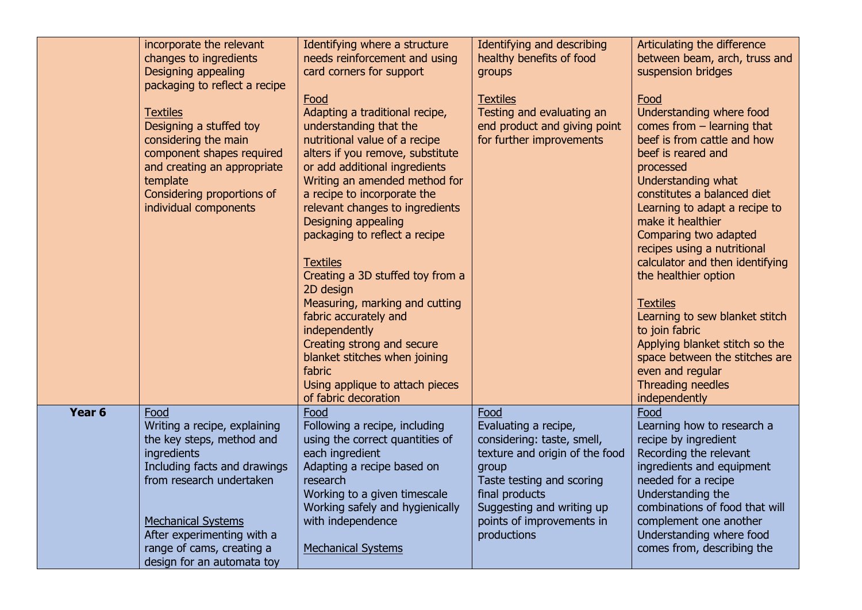|                   | incorporate the relevant<br>changes to ingredients<br>Designing appealing<br>packaging to reflect a recipe                                                                                                                                                         | Identifying where a structure<br>needs reinforcement and using<br>card corners for support<br>Food                                                                                                                                                                                                                                                                                                                                                                                                                                                                                                            | Identifying and describing<br>healthy benefits of food<br>groups<br><b>Textiles</b>                                                                                                                                           | Articulating the difference<br>between beam, arch, truss and<br>suspension bridges<br>Food                                                                                                                                                                                                                                                                                                                                                                                                                                                                    |
|-------------------|--------------------------------------------------------------------------------------------------------------------------------------------------------------------------------------------------------------------------------------------------------------------|---------------------------------------------------------------------------------------------------------------------------------------------------------------------------------------------------------------------------------------------------------------------------------------------------------------------------------------------------------------------------------------------------------------------------------------------------------------------------------------------------------------------------------------------------------------------------------------------------------------|-------------------------------------------------------------------------------------------------------------------------------------------------------------------------------------------------------------------------------|---------------------------------------------------------------------------------------------------------------------------------------------------------------------------------------------------------------------------------------------------------------------------------------------------------------------------------------------------------------------------------------------------------------------------------------------------------------------------------------------------------------------------------------------------------------|
|                   | <b>Textiles</b><br>Designing a stuffed toy<br>considering the main<br>component shapes required<br>and creating an appropriate<br>template<br>Considering proportions of<br>individual components                                                                  | Adapting a traditional recipe,<br>understanding that the<br>nutritional value of a recipe<br>alters if you remove, substitute<br>or add additional ingredients<br>Writing an amended method for<br>a recipe to incorporate the<br>relevant changes to ingredients<br>Designing appealing<br>packaging to reflect a recipe<br><b>Textiles</b><br>Creating a 3D stuffed toy from a<br>2D design<br>Measuring, marking and cutting<br>fabric accurately and<br>independently<br>Creating strong and secure<br>blanket stitches when joining<br>fabric<br>Using applique to attach pieces<br>of fabric decoration | Testing and evaluating an<br>end product and giving point<br>for further improvements                                                                                                                                         | Understanding where food<br>comes from $-$ learning that<br>beef is from cattle and how<br>beef is reared and<br>processed<br>Understanding what<br>constitutes a balanced diet<br>Learning to adapt a recipe to<br>make it healthier<br>Comparing two adapted<br>recipes using a nutritional<br>calculator and then identifying<br>the healthier option<br><b>Textiles</b><br>Learning to sew blanket stitch<br>to join fabric<br>Applying blanket stitch so the<br>space between the stitches are<br>even and regular<br>Threading needles<br>independently |
| Year <sub>6</sub> | Food<br>Writing a recipe, explaining<br>the key steps, method and<br>ingredients<br>Including facts and drawings<br>from research undertaken<br><b>Mechanical Systems</b><br>After experimenting with a<br>range of cams, creating a<br>design for an automata toy | Food<br>Following a recipe, including<br>using the correct quantities of<br>each ingredient<br>Adapting a recipe based on<br>research<br>Working to a given timescale<br>Working safely and hygienically<br>with independence<br><b>Mechanical Systems</b>                                                                                                                                                                                                                                                                                                                                                    | Food<br>Evaluating a recipe,<br>considering: taste, smell,<br>texture and origin of the food<br>group<br>Taste testing and scoring<br>final products<br>Suggesting and writing up<br>points of improvements in<br>productions | Food<br>Learning how to research a<br>recipe by ingredient<br>Recording the relevant<br>ingredients and equipment<br>needed for a recipe<br>Understanding the<br>combinations of food that will<br>complement one another<br>Understanding where food<br>comes from, describing the                                                                                                                                                                                                                                                                           |